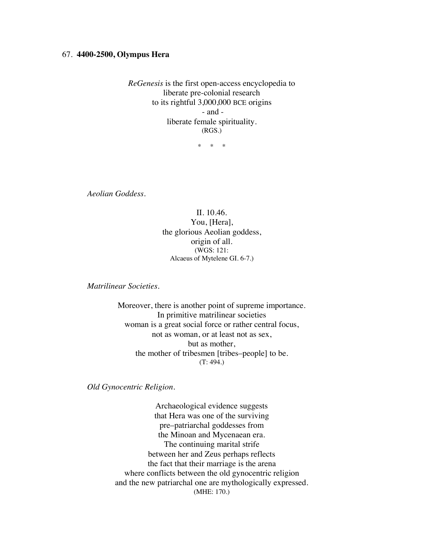## 67. **4400-2500, Olympus Hera**

*ReGenesis* is the first open-access encyclopedia to liberate pre-colonial research to its rightful 3,000,000 BCE origins - and liberate female spirituality. (RGS.)

\* \* \*

*Aeolian Goddess.*

II. 10.46. You, [Hera], the glorious Aeolian goddess, origin of all. (WGS: 121: Alcaeus of Mytelene GI. 6-7.)

*Matrilinear Societies.*

Moreover, there is another point of supreme importance. In primitive matrilinear societies woman is a great social force or rather central focus, not as woman, or at least not as sex, but as mother, the mother of tribesmen [tribes–people] to be. (T: 494.)

*Old Gynocentric Religion.*

Archaeological evidence suggests that Hera was one of the surviving pre–patriarchal goddesses from the Minoan and Mycenaean era. The continuing marital strife between her and Zeus perhaps reflects the fact that their marriage is the arena where conflicts between the old gynocentric religion and the new patriarchal one are mythologically expressed. (MHE: 170.)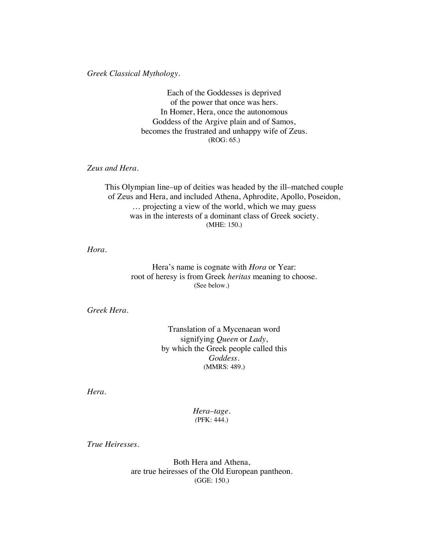*Greek Classical Mythology.*

Each of the Goddesses is deprived of the power that once was hers. In Homer, Hera, once the autonomous Goddess of the Argive plain and of Samos, becomes the frustrated and unhappy wife of Zeus. (ROG: 65.)

*Zeus and Hera.*

This Olympian line–up of deities was headed by the ill–matched couple of Zeus and Hera, and included Athena, Aphrodite, Apollo, Poseidon, … projecting a view of the world, which we may guess was in the interests of a dominant class of Greek society. (MHE: 150.)

*Hora.*

Hera's name is cognate with *Hora* or Year: root of heresy is from Greek *heritas* meaning to choose. (See below.)

*Greek Hera.*

Translation of a Mycenaean word signifying *Queen* or *Lady*, by which the Greek people called this *Goddess*. (MMRS: 489.)

*Hera.*

*Hera*–*tage. (*PFK: 444.)

*True Heiresses.*

Both Hera and Athena, are true heiresses of the Old European pantheon. (GGE: 150.)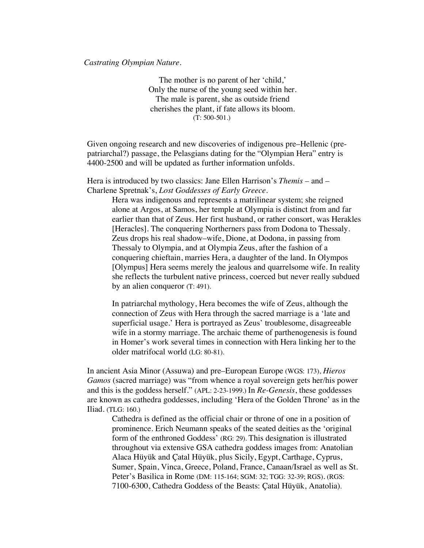## *Castrating Olympian Nature.*

The mother is no parent of her 'child,' Only the nurse of the young seed within her. The male is parent, she as outside friend cherishes the plant, if fate allows its bloom. (T: 500-501.)

Given ongoing research and new discoveries of indigenous pre–Hellenic (prepatriarchal?) passage, the Pelasgians dating for the "Olympian Hera" entry is 4400-2500 and will be updated as further information unfolds.

Hera is introduced by two classics: Jane Ellen Harrison's *Themis –* and – Charlene Spretnak's, *Lost Goddesses of Early Greece.*

> Hera was indigenous and represents a matrilinear system; she reigned alone at Argos, at Samos, her temple at Olympia is distinct from and far earlier than that of Zeus. Her first husband, or rather consort, was Herakles [Heracles]. The conquering Northerners pass from Dodona to Thessaly. Zeus drops his real shadow–wife, Dione, at Dodona, in passing from Thessaly to Olympia, and at Olympia Zeus, after the fashion of a conquering chieftain, marries Hera, a daughter of the land. In Olympos [Olympus] Hera seems merely the jealous and quarrelsome wife. In reality she reflects the turbulent native princess, coerced but never really subdued by an alien conqueror (T: 491).

In patriarchal mythology, Hera becomes the wife of Zeus, although the connection of Zeus with Hera through the sacred marriage is a 'late and superficial usage.' Hera is portrayed as Zeus' troublesome, disagreeable wife in a stormy marriage. The archaic theme of parthenogenesis is found in Homer's work several times in connection with Hera linking her to the older matrifocal world (LG: 80-81).

In ancient Asia Minor (Assuwa) and pre–European Europe (WGS: 173), *Hieros Gamos* (sacred marriage) was "from whence a royal sovereign gets her/his power and this is the goddess herself." (APL: 2-23-1999.) In *Re-Genesis*, these goddesses are known as cathedra goddesses, including 'Hera of the Golden Throne' as in the Iliad. (TLG: 160.)

Cathedra is defined as the official chair or throne of one in a position of prominence. Erich Neumann speaks of the seated deities as the 'original form of the enthroned Goddess' (RG: 29). This designation is illustrated throughout via extensive GSA cathedra goddess images from: Anatolian Alaca Hüyük and Çatal Hüyük, plus Sicily, Egypt, Carthage, Cyprus, Sumer, Spain, Vinca, Greece, Poland, France, Canaan/Israel as well as St. Peter's Basilica in Rome (DM: 115-164; SGM: 32; TGG: 32-39; RGS). (RGS: 7100-6300, Cathedra Goddess of the Beasts: Çatal Hüyük, Anatolia).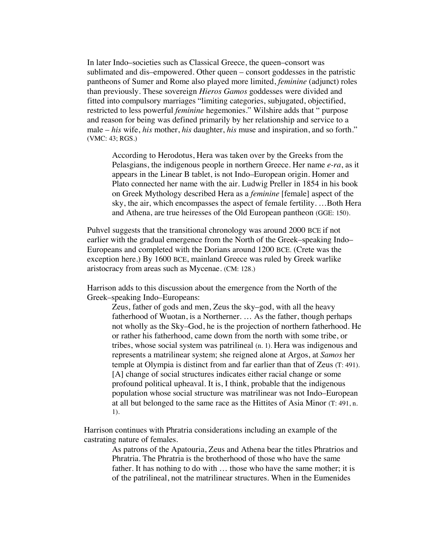In later Indo–societies such as Classical Greece, the queen–consort was sublimated and dis–empowered. Other queen – consort goddesses in the patristic pantheons of Sumer and Rome also played more limited, *feminine* (adjunct) roles than previously. These sovereign *Hieros Gamos* goddesses were divided and fitted into compulsory marriages "limiting categories, subjugated, objectified, restricted to less powerful *feminine* hegemonies." Wilshire adds that " purpose and reason for being was defined primarily by her relationship and service to a male – *his* wife, *his* mother, *his* daughter, *his* muse and inspiration, and so forth." (VMC: 43; RGS.)

According to Herodotus, Hera was taken over by the Greeks from the Pelasgians, the indigenous people in northern Greece. Her name *e-ra*, as it appears in the Linear B tablet, is not Indo–European origin. Homer and Plato connected her name with the air. Ludwig Preller in 1854 in his book on Greek Mythology described Hera as a *feminine* [female] aspect of the sky, the air, which encompasses the aspect of female fertility. …Both Hera and Athena, are true heiresses of the Old European pantheon (GGE: 150).

Puhvel suggests that the transitional chronology was around 2000 BCE if not earlier with the gradual emergence from the North of the Greek–speaking Indo– Europeans and completed with the Dorians around 1200 BCE. (Crete was the exception here.) By 1600 BCE, mainland Greece was ruled by Greek warlike aristocracy from areas such as Mycenae. (CM: 128.)

Harrison adds to this discussion about the emergence from the North of the Greek–speaking Indo–Europeans:

> Zeus, father of gods and men, Zeus the sky–god, with all the heavy fatherhood of Wuotan, is a Northerner. … As the father, though perhaps not wholly as the Sky–God, he is the projection of northern fatherhood. He or rather his fatherhood, came down from the north with some tribe, or tribes, whose social system was patrilineal (n. 1). Hera was indigenous and represents a matrilinear system; she reigned alone at Argos, at *Samos* her temple at Olympia is distinct from and far earlier than that of Zeus (T: 491). [A] change of social structures indicates either racial change or some profound political upheaval. It is, I think, probable that the indigenous population whose social structure was matrilinear was not Indo–European at all but belonged to the same race as the Hittites of Asia Minor (T: 491, n. 1).

Harrison continues with Phratria considerations including an example of the castrating nature of females.

> As patrons of the Apatouria, Zeus and Athena bear the titles Phratrios and Phratria. The Phratria is the brotherhood of those who have the same father. It has nothing to do with … those who have the same mother; it is of the patrilineal, not the matrilinear structures. When in the Eumenides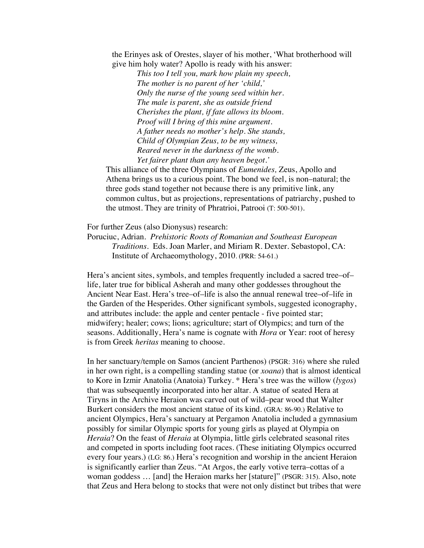the Erinyes ask of Orestes, slayer of his mother, 'What brotherhood will give him holy water? Apollo is ready with his answer:

> *This too I tell you, mark how plain my speech, The mother is no parent of her 'child,' Only the nurse of the young seed within her. The male is parent, she as outside friend Cherishes the plant, if fate allows its bloom. Proof will I bring of this mine argument. A father needs no mother's help. She stands, Child of Olympian Zeus, to be my witness, Reared never in the darkness of the womb. Yet fairer plant than any heaven begot.'*

This alliance of the three Olympians of *Eumenides,* Zeus, Apollo and Athena brings us to a curious point. The bond we feel, is non–natural; the three gods stand together not because there is any primitive link, any common cultus, but as projections, representations of patriarchy, pushed to the utmost. They are trinity of Phratrioi, Patrooi (T: 500-501).

For further Zeus (also Dionysus) research:

Poruciuc, Adrian. *Prehistoric Roots of Romanian and Southeast European Traditions*. Eds. Joan Marler, and Miriam R. Dexter. Sebastopol, CA: Institute of Archaeomythology, 2010. (PRR: 54-61.)

Hera's ancient sites, symbols, and temples frequently included a sacred tree–of– life, later true for biblical Asherah and many other goddesses throughout the Ancient Near East. Hera's tree–of–life is also the annual renewal tree–of–life in the Garden of the Hesperides. Other significant symbols, suggested iconography, and attributes include: the apple and center pentacle - five pointed star; midwifery; healer; cows; lions; agriculture; start of Olympics; and turn of the seasons. Additionally, Hera's name is cognate with *Hora* or Year: root of heresy is from Greek *heritas* meaning to choose.

In her sanctuary/temple on Samos (ancient Parthenos) (PSGR: 316) where she ruled in her own right, is a compelling standing statue (or *xoana*) that is almost identical to Kore in Izmir Anatolia (Anatoia) Turkey. \* Hera's tree was the willow (*lygos*) that was subsequently incorporated into her altar. A statue of seated Hera at Tiryns in the Archive Heraion was carved out of wild–pear wood that Walter Burkert considers the most ancient statue of its kind. (GRA: 86-90.) Relative to ancient Olympics, Hera's sanctuary at Pergamon Anatolia included a gymnasium possibly for similar Olympic sports for young girls as played at Olympia on *Heraia*? On the feast of *Heraia* at Olympia, little girls celebrated seasonal rites and competed in sports including foot races. (These initiating Olympics occurred every four years.) (LG: 86.) Hera's recognition and worship in the ancient Heraion is significantly earlier than Zeus. "At Argos, the early votive terra–cottas of a woman goddess … [and] the Heraion marks her [stature]" (PSGR: 315). Also, note that Zeus and Hera belong to stocks that were not only distinct but tribes that were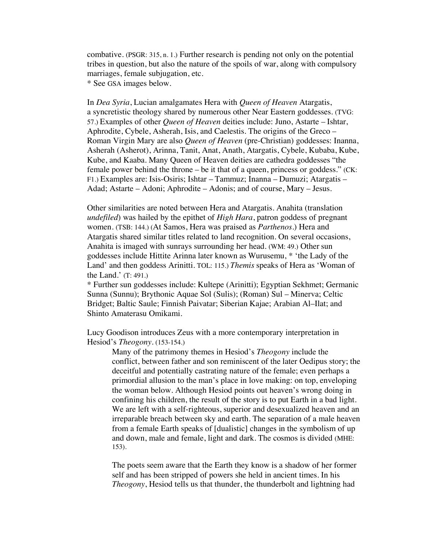combative. (PSGR: 315, n. 1.) Further research is pending not only on the potential tribes in question, but also the nature of the spoils of war, along with compulsory marriages, female subjugation, etc.

\* See GSA images below.

In *Dea Syria*, Lucian amalgamates Hera with *Queen of Heaven* Atargatis, a syncretistic theology shared by numerous other Near Eastern goddesses. (TVG: 57.) Examples of other *Queen of Heaven* deities include: Juno, Astarte – Ishtar, Aphrodite, Cybele, Asherah, Isis, and Caelestis. The origins of the Greco – Roman Virgin Mary are also *Queen of Heaven* (pre-Christian) goddesses: Inanna, Asherah (Asherot), Arinna, Tanit, Anat, Anath, Atargatis, Cybele, Kubaba, Kube, Kube, and Kaaba. Many Queen of Heaven deities are cathedra goddesses "the female power behind the throne – be it that of a queen, princess or goddess." (CK: F1.) Examples are: Isis-Osiris; Ishtar – Tammuz; Inanna – Dumuzi; Atargatis – Adad; Astarte – Adoni; Aphrodite – Adonis; and of course, Mary – Jesus.

Other similarities are noted between Hera and Atargatis. Anahita (translation *undefiled*) was hailed by the epithet of *High Hara*, patron goddess of pregnant women. (TSB: 144.) (At Samos, Hera was praised as *Parthenos*.) Hera and Atargatis shared similar titles related to land recognition. On several occasions, Anahita is imaged with sunrays surrounding her head. (WM: 49.) Other sun goddesses include Hittite Arinna later known as Wurusemu, \* 'the Lady of the Land' and then goddess Arinitti. TOL: 115.) *Themis* speaks of Hera as 'Woman of the Land.' (T: 491.)

\* Further sun goddesses include: Kultepe (Arinitti); Egyptian Sekhmet; Germanic Sunna (Sunnu); Brythonic Aquae Sol (Sulis); (Roman) Sul – Minerva; Celtic Bridget; Baltic Saule; Finnish Paivatar; Siberian Kajae; Arabian Al–Ilat; and Shinto Amaterasu Omikami.

Lucy Goodison introduces Zeus with a more contemporary interpretation in Hesiod's *Theogony.* (153-154.)

Many of the patrimony themes in Hesiod's *Theogony* include the conflict, between father and son reminiscent of the later Oedipus story; the deceitful and potentially castrating nature of the female; even perhaps a primordial allusion to the man's place in love making: on top, enveloping the woman below. Although Hesiod points out heaven's wrong doing in confining his children, the result of the story is to put Earth in a bad light. We are left with a self-righteous, superior and desexualized heaven and an irreparable breach between sky and earth. The separation of a male heaven from a female Earth speaks of [dualistic] changes in the symbolism of up and down, male and female, light and dark. The cosmos is divided (MHE: 153).

The poets seem aware that the Earth they know is a shadow of her former self and has been stripped of powers she held in ancient times. In his *Theogony*, Hesiod tells us that thunder, the thunderbolt and lightning had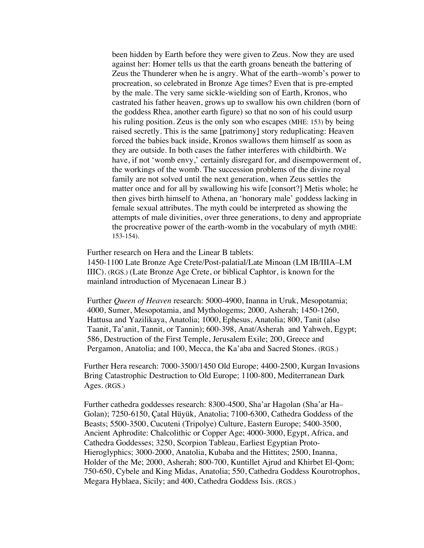been hidden by Earth before they were given to Zeus. Now they are used against her: Homer tells us that the earth groans beneath the battering of Zeus the Thunderer when he is angry. What of the earth–womb's power to procreation, so celebrated in Bronze Age times? Even that is pre-empted by the male. The very same sickle-wielding son of Earth, Kronos, who castrated his father heaven, grows up to swallow his own children (born of the goddess Rhea, another earth figure) so that no son of his could usurp his ruling position. Zeus is the only son who escapes (MHE: 153) by being raised secretly. This is the same [patrimony] story reduplicating: Heaven forced the babies back inside, Kronos swallows them himself as soon as they are outside. In both cases the father interferes with childbirth. We have, if not 'womb envy,' certainly disregard for, and disempowerment of, the workings of the womb. The succession problems of the divine royal family are not solved until the next generation, when Zeus settles the matter once and for all by swallowing his wife [consort?] Metis whole; he then gives birth himself to Athena, an 'honorary male' goddess lacking in female sexual attributes. The myth could be interpreted as showing the attempts of male divinities, over three generations, to deny and appropriate the procreative power of the earth-womb in the vocabulary of myth (MHE: 153-154).

Further research on Hera and the Linear B tablets:

1450-1100 Late Bronze Age Crete/Post-palatial/Late Minoan (LM IB/IIIA–LM IIIC). (RGS.) (Late Bronze Age Crete, or biblical Caphtor, is known for the mainland introduction of Mycenaean Linear B.)

Further *Queen of Heaven* research: 5000-4900, Inanna in Uruk, Mesopotamia; 4000, Sumer, Mesopotamia, and Mythologems; 2000, Asherah; 1450-1260, Hattusa and Yazilikaya, Anatolia; 1000, Ephesus, Anatolia; 800, Tanit (also Taanit, Ta'anit, Tannit, or Tannin); 600-398, Anat/Asherah and Yahweh, Egypt; 586, Destruction of the First Temple, Jerusalem Exile; 200, Greece and Pergamon, Anatolia; and 100, Mecca, the Ka'aba and Sacred Stones. (RGS.)

Further Hera research: 7000-3500/1450 Old Europe; 4400-2500, Kurgan Invasions Bring Catastrophic Destruction to Old Europe; 1100-800, Mediterranean Dark Ages. (RGS.)

Further cathedra goddesses research: 8300-4500, Sha'ar Hagolan (Sha'ar Ha– Golan); 7250-6150, Çatal Hüyük, Anatolia; 7100-6300, Cathedra Goddess of the Beasts; 5500-3500, Cucuteni (Tripolye) Culture, Eastern Europe; 5400-3500, Ancient Aphrodite: Chalcolithic or Copper Age; 4000-3000, Egypt, Africa, and Cathedra Goddesses; 3250, Scorpion Tableau, Earliest Egyptian Proto-Hieroglyphics; 3000-2000, Anatolia, Kubaba and the Hittites; 2500, Inanna, Holder of the Me; 2000, Asherah; 800-700, Kuntillet Ajrud and Khirbet El-Qom; 750-650, Cybele and King Midas, Anatolia; 550, Cathedra Goddess Kourotrophos, Megara Hyblaea, Sicily; and 400, Cathedra Goddess Isis. (RGS.)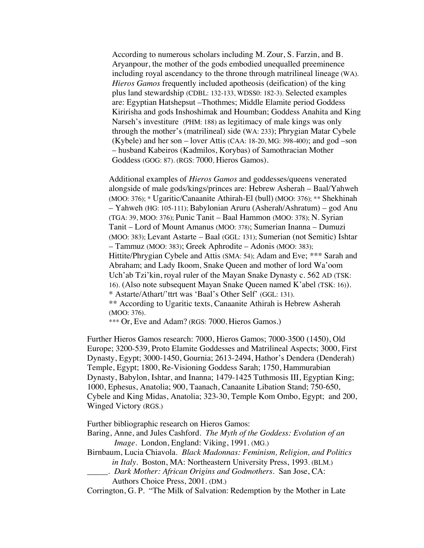According to numerous scholars including M. Zour, S. Farzin, and B. Aryanpour, the mother of the gods embodied unequalled preeminence including royal ascendancy to the throne through matrilineal lineage (WA). *Hieros Gamos* frequently included apotheosis (deification) of the king plus land stewardship (CDBL: 132-133, WDSS0: 182-3). Selected examples are: Egyptian Hatshepsut –Thothmes; Middle Elamite period Goddess Kiririsha and gods Inshoshimak and Houmban; Goddess Anahita and King Narseh's investiture (PHM: 188) as legitimacy of male kings was only through the mother's (matrilineal) side (WA: 233); Phrygian Matar Cybele (Kybele) and her son – lover Attis (CAA: 18-20, MG: 398-400); and god –son – husband Kabeiros (Kadmilos, Korybas) of Samothracian Mother Goddess (GOG: 87). (RGS: 7000, Hieros Gamos).

Additional examples of *Hieros Gamos* and goddesses/queens venerated alongside of male gods/kings/princes are: Hebrew Asherah – Baal/Yahweh (MOO: 376); \* Ugaritic/Canaanite Athirah-El (bull) (MOO: 376); \*\* Shekhinah – Yahweh (HG: 105-111); Babylonian Aruru (Asherah/Ashratum) – god Anu (TGA: 39, MOO: 376); Punic Tanit – Baal Hammon (MOO: 378); N. Syrian Tanit – Lord of Mount Amanus (MOO: 378); Sumerian Inanna – Dumuzi (MOO: 383); Levant Astarte – Baal (GGL: 131); Sumerian (not Semitic) Ishtar – Tammuz (MOO: 383); Greek Aphrodite – Adonis (MOO: 383); Hittite/Phrygian Cybele and Attis (SMA: 54); Adam and Eve; \*\*\* Sarah and Abraham; and Lady Ikoom, Snake Queen and mother of lord Wa'oom Uch'ab Tzi'kin, royal ruler of the Mayan Snake Dynasty c. 562 AD (TSK: 16). (Also note subsequent Mayan Snake Queen named K'abel (TSK: 16)). \* Astarte/Athart/'ttrt was 'Baal's Other Self' (GGL: 131). \*\* According to Ugaritic texts, Canaanite Athirah is Hebrew Asherah (MOO: 376).

\*\*\* Or, Eve and Adam? (RGS: 7000, Hieros Gamos.)

Further Hieros Gamos research: 7000, Hieros Gamos; 7000-3500 (1450), Old Europe; 3200-539, Proto Elamite Goddesses and Matrilineal Aspects; 3000, First Dynasty, Egypt; 3000-1450, Gournia; 2613-2494, Hathor's Dendera (Denderah) Temple, Egypt; 1800, Re-Visioning Goddess Sarah; 1750, Hammurabian Dynasty, Babylon, Ishtar, and Inanna; 1479-1425 Tuthmosis III, Egyptian King; 1000, Ephesus, Anatolia; 900, Taanach, Canaanite Libation Stand; 750-650, Cybele and King Midas, Anatolia; 323-30, Temple Kom Ombo, Egypt; and 200, Winged Victory (RGS.)

Further bibliographic research on Hieros Gamos:

- Baring, Anne, and Jules Cashford. *The Myth of the Goddess: Evolution of an Image*. London, England: Viking, 1991. (MG.)
- Birnbaum, Lucia Chiavola. *Black Madonnas: Feminism, Religion, and Politics in Italy*. Boston, MA: Northeastern University Press, 1993. (BLM.)
	- \_\_\_\_\_. *Dark Mother: African Origins and Godmothers*. San Jose, CA: Authors Choice Press, 2001. (DM.)

Corrington, G. P. "The Milk of Salvation: Redemption by the Mother in Late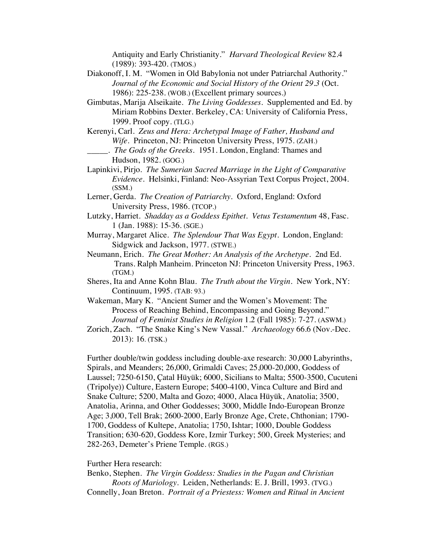Antiquity and Early Christianity." *Harvard Theological Review* 82.4 (1989): 393-420. (TMOS.)

- Diakonoff, I. M. "Women in Old Babylonia not under Patriarchal Authority." *Journal of the Economic and Social History of the Orient 29.3* (Oct. 1986): 225-238. (WOB.) (Excellent primary sources.)
- Gimbutas, Marija Alseikaite. *The Living Goddesses*. Supplemented and Ed. by Miriam Robbins Dexter. Berkeley, CA: University of California Press, 1999. Proof copy. (TLG.)
- Kerenyi, Carl. *Zeus and Hera: Archetypal Image of Father, Husband and Wife*. Princeton, NJ: Princeton University Press, 1975. (ZAH.)
- \_\_\_\_\_. *The Gods of the Greeks*. 1951. London, England: Thames and Hudson, 1982. (GOG.)
- Lapinkivi, Pirjo. *The Sumerian Sacred Marriage in the Light of Comparative Evidence*. Helsinki, Finland: Neo-Assyrian Text Corpus Project, 2004. (SSM.)
- Lerner, Gerda. *The Creation of Patriarchy.* Oxford, England: Oxford University Press, 1986. (TCOP.)
- Lutzky, Harriet. *Shadday as a Goddess Epithet. Vetus Testamentum* 48, Fasc. 1 (Jan. 1988): 15-36. (SGE.)
- Murray, Margaret Alice. *The Splendour That Was Egypt*. London, England: Sidgwick and Jackson, 1977. (STWE.)
- Neumann, Erich*. The Great Mother: An Analysis of the Archetype*. 2nd Ed. Trans. Ralph Manheim. Princeton NJ: Princeton University Press, 1963. (TGM.)
- Sheres, Ita and Anne Kohn Blau. *The Truth about the Virgin*. New York, NY: Continuum, 1995. (TAB: 93.)
- Wakeman, Mary K. "Ancient Sumer and the Women's Movement: The Process of Reaching Behind, Encompassing and Going Beyond." *Journal of Feminist Studies in Religion* 1.2 (Fall 1985): 7-27. (ASWM.)
- Zorich, Zach. "The Snake King's New Vassal." *Archaeology* 66.6 (Nov.-Dec. 2013): 16. (TSK.)

Further double/twin goddess including double-axe research: 30,000 Labyrinths, Spirals, and Meanders; 26,000, Grimaldi Caves; 25,000-20,000, Goddess of Laussel; 7250-6150, Çatal Hüyük; 6000, Sicilians to Malta; 5500-3500, Cucuteni (Tripolye)) Culture, Eastern Europe; 5400-4100, Vinca Culture and Bird and Snake Culture; 5200, Malta and Gozo; 4000, Alaca Hüyük, Anatolia; 3500, Anatolia, Arinna, and Other Goddesses; 3000, Middle Indo-European Bronze Age; 3,000, Tell Brak; 2600-2000, Early Bronze Age, Crete, Chthonian; 1790- 1700, Goddess of Kultepe, Anatolia; 1750, Ishtar; 1000, Double Goddess Transition; 630-620, Goddess Kore, Izmir Turkey; 500, Greek Mysteries; and 282-263, Demeter's Priene Temple. (RGS.)

## Further Hera research:

Benko, Stephen. *The Virgin Goddess: Studies in the Pagan and Christian Roots of Mariology*. Leiden, Netherlands: E. J. Brill, 1993. (TVG.) Connelly, Joan Breton. *Portrait of a Priestess: Women and Ritual in Ancient*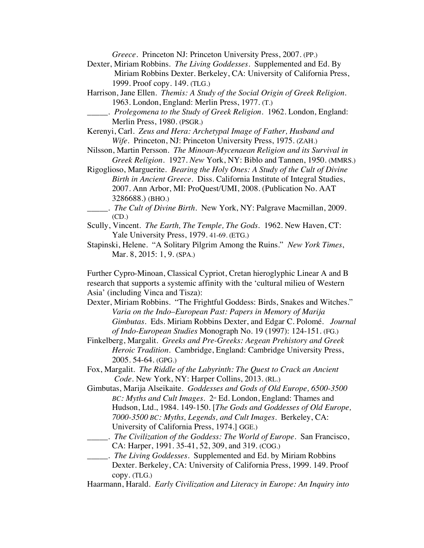*Greece*. Princeton NJ: Princeton University Press, 2007. (PP.)

- Dexter, Miriam Robbins. *The Living Goddesses*. Supplemented and Ed. By Miriam Robbins Dexter. Berkeley, CA: University of California Press, 1999. Proof copy. 149. (TLG.)
- Harrison, Jane Ellen. *Themis: A Study of the Social Origin of Greek Religion.* 1963. London, England: Merlin Press, 1977. (T.)
- \_\_\_\_\_. *Prolegomena to the Study of Greek Religion.* 1962. London, England: Merlin Press, 1980. (PSGR.)
- Kerenyi, Carl. *Zeus and Hera: Archetypal Image of Father, Husband and Wife*. Princeton, NJ: Princeton University Press, 1975. (ZAH.)
- Nilsson, Martin Persson*. The Minoan-Mycenaean Religion and its Survival in Greek Religion.* 1927. *New* York, NY: Biblo and Tannen, 1950. (MMRS.)
- Rigoglioso, Marguerite. *Bearing the Holy Ones: A Study of the Cult of Divine Birth in Ancient Greece*. Diss. California Institute of Integral Studies, 2007. Ann Arbor, MI: ProQuest/UMI, 2008. (Publication No. AAT 3286688.) (BHO.)
	- \_\_\_\_\_. *The Cult of Divine Birth*. New York, NY: Palgrave Macmillan, 2009. (CD.)
- Scully, Vincent. *The Earth, The Temple, The Gods*. 1962. New Haven, CT: Yale University Press, 1979. 41-69. (ETG.)
- Stapinski, Helene. "A Solitary Pilgrim Among the Ruins." *New York Times*, Mar. 8, 2015: 1, 9. (SPA.)

Further Cypro-Minoan, Classical Cypriot, Cretan hieroglyphic Linear A and B research that supports a systemic affinity with the 'cultural milieu of Western Asia' (including Vinca and Tisza):

- Dexter, Miriam Robbins. "The Frightful Goddess: Birds, Snakes and Witches." *Varia on the Indo*–*European Past: Papers in Memory of Marija Gimbutas.* Eds. Miriam Robbins Dexter, and Edgar C. Polomé. *Journal of Indo-European Studies* Monograph No. 19 (1997): 124-151. (FG.)
- Finkelberg, Margalit. *Greeks and Pre-Greeks: Aegean Prehistory and Greek Heroic Tradition.* Cambridge, England: Cambridge University Press, 2005. 54-64. (GPG.)
- Fox, Margalit. *The Riddle of the Labyrinth: The Quest to Crack an Ancient Code.* New York, NY: Harper Collins, 2013. (RL.)
- Gimbutas, Marija Alseikaite. *Goddesses and Gods of Old Europe, 6500-3500 BC: Myths and Cult Images.*  $2^nd$  Ed. London, England: Thames and Hudson, Ltd., 1984. 149-150. [*The Gods and Goddesses of Old Europe, 7000-3500 BC: Myths, Legends, and Cult Images.* Berkeley, CA: University of California Press, 1974.] GGE.)
- \_\_\_\_\_. *The Civilization of the Goddess: The World of Europe*. San Francisco, CA: Harper, 1991. 35-41, 52, 309, and 319. (COG.)
- \_\_\_\_\_. *The Living Goddesses*. Supplemented and Ed. by Miriam Robbins Dexter. Berkeley, CA: University of California Press, 1999. 149. Proof copy. (TLG.)
- Haarmann, Harald. *Early Civilization and Literacy in Europe: An Inquiry into*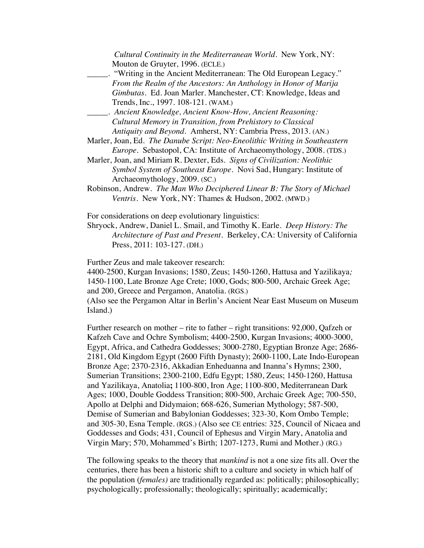|          | Cultural Continuity in the Mediterranean World. New York, NY:<br>Mouton de Gruyter, 1996. (ECLE.)                                                                                                                                                                                                                                                                                                                                                                                                                                                                                                                                                 |
|----------|---------------------------------------------------------------------------------------------------------------------------------------------------------------------------------------------------------------------------------------------------------------------------------------------------------------------------------------------------------------------------------------------------------------------------------------------------------------------------------------------------------------------------------------------------------------------------------------------------------------------------------------------------|
|          | "Writing in the Ancient Mediterranean: The Old European Legacy."                                                                                                                                                                                                                                                                                                                                                                                                                                                                                                                                                                                  |
|          | From the Realm of the Ancestors: An Anthology in Honor of Marija                                                                                                                                                                                                                                                                                                                                                                                                                                                                                                                                                                                  |
|          | Gimbutas. Ed. Joan Marler. Manchester, CT: Knowledge, Ideas and                                                                                                                                                                                                                                                                                                                                                                                                                                                                                                                                                                                   |
|          | Trends, Inc., 1997. 108-121. (WAM.)                                                                                                                                                                                                                                                                                                                                                                                                                                                                                                                                                                                                               |
|          | Ancient Knowledge, Ancient Know-How, Ancient Reasoning:                                                                                                                                                                                                                                                                                                                                                                                                                                                                                                                                                                                           |
|          | Cultural Memory in Transition, from Prehistory to Classical                                                                                                                                                                                                                                                                                                                                                                                                                                                                                                                                                                                       |
|          | Antiquity and Beyond. Amherst, NY: Cambria Press, 2013. (AN.)                                                                                                                                                                                                                                                                                                                                                                                                                                                                                                                                                                                     |
|          | Marler, Joan, Ed. The Danube Script: Neo-Eneolithic Writing in Southeastern                                                                                                                                                                                                                                                                                                                                                                                                                                                                                                                                                                       |
|          | Europe. Sebastopol, CA: Institute of Archaeomythology, 2008. (TDS.)                                                                                                                                                                                                                                                                                                                                                                                                                                                                                                                                                                               |
|          | Marler, Joan, and Miriam R. Dexter, Eds. Signs of Civilization: Neolithic                                                                                                                                                                                                                                                                                                                                                                                                                                                                                                                                                                         |
|          | Symbol System of Southeast Europe. Novi Sad, Hungary: Institute of                                                                                                                                                                                                                                                                                                                                                                                                                                                                                                                                                                                |
|          | Archaeomythology, 2009. (SC.)                                                                                                                                                                                                                                                                                                                                                                                                                                                                                                                                                                                                                     |
|          | Robinson, Andrew. The Man Who Deciphered Linear B: The Story of Michael                                                                                                                                                                                                                                                                                                                                                                                                                                                                                                                                                                           |
|          | Ventris. New York, NY: Thames & Hudson, 2002. (MWD.)                                                                                                                                                                                                                                                                                                                                                                                                                                                                                                                                                                                              |
|          | For considerations on deep evolutionary linguistics:<br>Shryock, Andrew, Daniel L. Smail, and Timothy K. Earle. Deep History: The<br>Architecture of Past and Present. Berkeley, CA: University of California<br>Press, 2011: 103-127. (DH.)                                                                                                                                                                                                                                                                                                                                                                                                      |
| Island.) | Further Zeus and male takeover research:<br>4400-2500, Kurgan Invasions; 1580, Zeus; 1450-1260, Hattusa and Yazilikaya;<br>1450-1100, Late Bronze Age Crete; 1000, Gods; 800-500, Archaic Greek Age;<br>and 200, Greece and Pergamon, Anatolia. (RGS.)<br>(Also see the Pergamon Altar in Berlin's Ancient Near East Museum on Museum                                                                                                                                                                                                                                                                                                             |
|          | Further research on mother – rite to father – right transitions: 92,000, Qafzeh or<br>Kafzeh Cave and Ochre Symbolism; 4400-2500, Kurgan Invasions; 4000-3000,<br>Egypt, Africa, and Cathedra Goddesses; 3000-2780, Egyptian Bronze Age; 2686-<br>2181, Old Kingdom Egypt (2600 Fifth Dynasty); 2600-1100, Late Indo-European<br>Bronze Age; 2370-2316, Akkadian Enheduanna and Inanna's Hymns; 2300,<br>Sumerian Transitions; 2300-2100, Edfu Egypt; 1580, Zeus; 1450-1260, Hattusa<br>and Yazilikaya, Anatolia; 1100-800, Iron Age; 1100-800, Mediterranean Dark<br>Ages; 1000, Double Goddess Transition; 800-500, Archaic Greek Age; 700-550, |

Apollo at Delphi and Didymaion; 668-626, Sumerian Mythology; 587-500, Demise of Sumerian and Babylonian Goddesses; 323-30, Kom Ombo Temple; and 305-30, Esna Temple. (RGS.) (Also see CE entries: 325, Council of Nicaea and Goddesses and Gods; 431, Council of Ephesus and Virgin Mary, Anatolia and Virgin Mary; 570, Mohammed's Birth; 1207-1273, Rumi and Mother.) (RG.)

The following speaks to the theory that *mankind* is not a one size fits all. Over the centuries, there has been a historic shift to a culture and society in which half of the population (*females)* are traditionally regarded as: politically; philosophically; psychologically; professionally; theologically; spiritually; academically;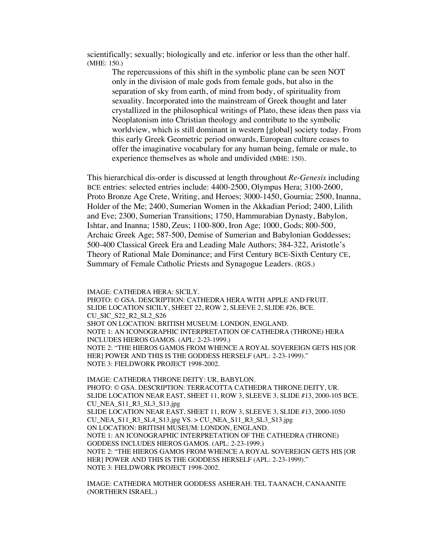scientifically; sexually; biologically and etc. inferior or less than the other half. (MHE: 150.)

The repercussions of this shift in the symbolic plane can be seen NOT only in the division of male gods from female gods, but also in the separation of sky from earth, of mind from body, of spirituality from sexuality. Incorporated into the mainstream of Greek thought and later crystallized in the philosophical writings of Plato, these ideas then pass via Neoplatonism into Christian theology and contribute to the symbolic worldview, which is still dominant in western [global] society today. From this early Greek Geometric period onwards, European culture ceases to offer the imaginative vocabulary for any human being, female or male, to experience themselves as whole and undivided **(**MHE: 150).

This hierarchical dis-order is discussed at length throughout *Re-Genesis* including BCE entries: selected entries include: 4400-2500, Olympus Hera; 3100-2600, Proto Bronze Age Crete, Writing, and Heroes; 3000-1450, Gournia; 2500, Inanna, Holder of the Me; 2400, Sumerian Women in the Akkadian Period; 2400, Lilith and Eve; 2300, Sumerian Transitions; 1750, Hammurabian Dynasty, Babylon, Ishtar, and Inanna; 1580, Zeus; 1100-800, Iron Age; 1000, Gods; 800-500, Archaic Greek Age; 587-500, Demise of Sumerian and Babylonian Goddesses; 500-400 Classical Greek Era and Leading Male Authors; 384-322, Aristotle's Theory of Rational Male Dominance; and First Century BCE-Sixth Century CE, Summary of Female Catholic Priests and Synagogue Leaders. (RGS.)

IMAGE: CATHEDRA HERA: SICILY. PHOTO: © GSA. DESCRIPTION: CATHEDRA HERA WITH APPLE AND FRUIT. SLIDE LOCATION SICILY, SHEET 22, ROW 2, SLEEVE 2, SLIDE #26, BCE. CU\_SIC\_S22\_R2\_SL2\_S26 SHOT ON LOCATION: BRITISH MUSEUM: LONDON, ENGLAND. NOTE 1: AN ICONOGRAPHIC INTERPRETATION OF CATHEDRA (THRONE) HERA INCLUDES HIEROS GAMOS. (APL: 2-23-1999.) NOTE 2: "THE HIEROS GAMOS FROM WHENCE A ROYAL SOVEREIGN GETS HIS [OR HER] POWER AND THIS IS THE GODDESS HERSELF (APL: 2-23-1999)." NOTE 3: FIELDWORK PROJECT 1998-2002.

IMAGE: CATHEDRA THRONE DEITY: UR, BABYLON. PHOTO: © GSA. DESCRIPTION: TERRACOTTA CATHEDRA THRONE DEITY, UR. SLIDE LOCATION NEAR EAST, SHEET 11, ROW 3, SLEEVE 3, SLIDE #13, 2000-105 BCE. CU\_NEA\_S11\_R3\_SL3\_S13.jpg SLIDE LOCATION NEAR EAST, SHEET 11, ROW 3, SLEEVE 3, SLIDE #13, 2000-1050 CU\_NEA\_S11\_R3\_SL4\_S13.jpg VS. > CU\_NEA\_S11\_R3\_SL3\_S13.jpg ON LOCATION: BRITISH MUSEUM: LONDON, ENGLAND. NOTE 1: AN ICONOGRAPHIC INTERPRETATION OF THE CATHEDRA (THRONE) GODDESS INCLUDES HIEROS GAMOS. (APL: 2-23-1999.) NOTE 2: "THE HIEROS GAMOS FROM WHENCE A ROYAL SOVEREIGN GETS HIS [OR HER] POWER AND THIS IS THE GODDESS HERSELF (APL: 2-23-1999)." NOTE 3: FIELDWORK PROJECT 1998-2002.

IMAGE: CATHEDRA MOTHER GODDESS ASHERAH: TEL TAANACH, CANAANITE (NORTHERN ISRAEL.)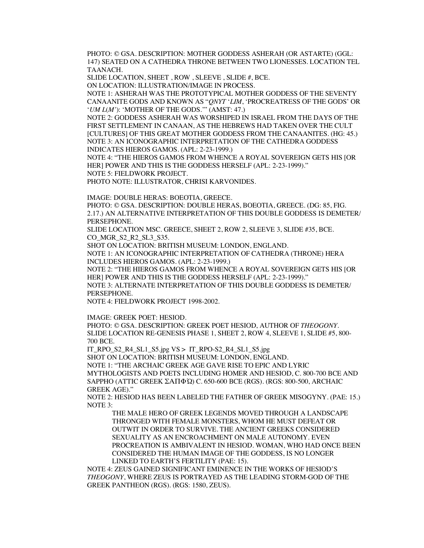PHOTO: © GSA. DESCRIPTION: MOTHER GODDESS ASHERAH (OR ASTARTE) (GGL: 147) SEATED ON A CATHEDRA THRONE BETWEEN TWO LIONESSES. LOCATION TEL TAANACH.

SLIDE LOCATION, SHEET , ROW , SLEEVE , SLIDE #, BCE.

ON LOCATION: ILLUSTRATION/IMAGE IN PROCESS.

NOTE 1: ASHERAH WAS THE PROTOTYPICAL MOTHER GODDESS OF THE SEVENTY CANAANITE GODS AND KNOWN AS "*QNYT* '*LIM*, 'PROCREATRESS OF THE GODS' OR '*UM L*(*M'*): 'MOTHER OF THE GODS.'" (AMST: 47.)

NOTE 2: GODDESS ASHERAH WAS WORSHIPED IN ISRAEL FROM THE DAYS OF THE FIRST SETTLEMENT IN CANAAN, AS THE HEBREWS HAD TAKEN OVER THE CULT [CULTURES] OF THIS GREAT MOTHER GODDESS FROM THE CANAANITES. (HG: 45.) NOTE 3: AN ICONOGRAPHIC INTERPRETATION OF THE CATHEDRA GODDESS INDICATES HIEROS GAMOS. (APL: 2-23-1999.)

NOTE 4: "THE HIEROS GAMOS FROM WHENCE A ROYAL SOVEREIGN GETS HIS [OR HER] POWER AND THIS IS THE GODDESS HERSELF (APL: 2-23-1999)." NOTE 5: FIELDWORK PROJECT.

PHOTO NOTE: ILLUSTRATOR, CHRISI KARVONIDES.

IMAGE: DOUBLE HERAS: BOEOTIA, GREECE.

PHOTO: © GSA. DESCRIPTION: DOUBLE HERAS, BOEOTIA, GREECE. (DG: 85, FIG. 2.17.) AN ALTERNATIVE INTERPRETATION OF THIS DOUBLE GODDESS IS DEMETER/ PERSEPHONE.

SLIDE LOCATION MSC. GREECE, SHEET 2, ROW 2, SLEEVE 3, SLIDE #35, BCE. CO\_MGR\_S2\_R2\_SL3\_S35.

SHOT ON LOCATION: BRITISH MUSEUM: LONDON, ENGLAND.

NOTE 1: AN ICONOGRAPHIC INTERPRETATION OF CATHEDRA (THRONE) HERA INCLUDES HIEROS GAMOS. (APL: 2-23-1999.)

NOTE 2: "THE HIEROS GAMOS FROM WHENCE A ROYAL SOVEREIGN GETS HIS [OR HER] POWER AND THIS IS THE GODDESS HERSELF (APL: 2-23-1999)." NOTE 3: ALTERNATE INTERPRETATION OF THIS DOUBLE GODDESS IS DEMETER/

PERSEPHONE.

NOTE 4: FIELDWORK PROJECT 1998-2002.

IMAGE: GREEK POET: HESIOD.

PHOTO: © GSA. DESCRIPTION: GREEK POET HESIOD, AUTHOR OF *THEOGONY*. SLIDE LOCATION RE-GENESIS PHASE 1, SHEET 2, ROW 4, SLEEVE 1, SLIDE #5, 800- 700 BCE.

IT\_RPO\_S2\_R4\_SL1\_S5.jpg VS > IT\_RPO-S2\_R4\_SL1\_S5.jpg

SHOT ON LOCATION: BRITISH MUSEUM: LONDON, ENGLAND.

NOTE 1: "THE ARCHAIC GREEK AGE GAVE RISE TO EPIC AND LYRIC MYTHOLOGISTS AND POETS INCLUDING HOMER AND HESIOD, C. 800-700 BCE AND SAPPHO (ATTIC GREEK ΣΑΠΦΏ) C. 650-600 BCE (RGS). (RGS: 800-500, ARCHAIC GREEK AGE)."

NOTE 2: HESIOD HAS BEEN LABELED THE FATHER OF GREEK MISOGYNY. (PAE: 15.) NOTE 3:

THE MALE HERO OF GREEK LEGENDS MOVED THROUGH A LANDSCAPE THRONGED WITH FEMALE MONSTERS, WHOM HE MUST DEFEAT OR OUTWIT IN ORDER TO SURVIVE. THE ANCIENT GREEKS CONSIDERED SEXUALITY AS AN ENCROACHMENT ON MALE AUTONOMY. EVEN PROCREATION IS AMBIVALENT IN HESIOD. WOMAN, WHO HAD ONCE BEEN CONSIDERED THE HUMAN IMAGE OF THE GODDESS, IS NO LONGER LINKED TO EARTH'S FERTILITY (PAE: 15).

NOTE 4: ZEUS GAINED SIGNIFICANT EMINENCE IN THE WORKS OF HESIOD'S *THEOGONY*, WHERE ZEUS IS PORTRAYED AS THE LEADING STORM-GOD OF THE GREEK PANTHEON (RGS). (RGS: 1580, ZEUS).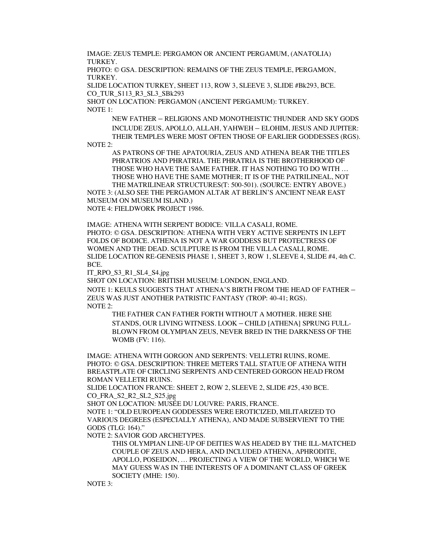IMAGE: ZEUS TEMPLE: PERGAMON OR ANCIENT PERGAMUM, (ANATOLIA) TURKEY.

PHOTO: © GSA. DESCRIPTION: REMAINS OF THE ZEUS TEMPLE, PERGAMON, TURKEY.

SLIDE LOCATION TURKEY, SHEET 113, ROW 3, SLEEVE 3, SLIDE #Bk293, BCE. CO\_TUR\_S113\_R3\_SL3\_SBk293

SHOT ON LOCATION: PERGAMON (ANCIENT PERGAMUM): TURKEY. NOTE 1:

NEW FATHER – RELIGIONS AND MONOTHEISTIC THUNDER AND SKY GODS INCLUDE ZEUS, APOLLO, ALLAH, YAHWEH – ELOHIM, JESUS AND JUPITER: THEIR TEMPLES WERE MOST OFTEN THOSE OF EARLIER GODDESSES (RGS).

NOTE 2:

AS PATRONS OF THE APATOURIA, ZEUS AND ATHENA BEAR THE TITLES PHRATRIOS AND PHRATRIA. THE PHRATRIA IS THE BROTHERHOOD OF THOSE WHO HAVE THE SAME FATHER. IT HAS NOTHING TO DO WITH … THOSE WHO HAVE THE SAME MOTHER; IT IS OF THE PATRILINEAL, NOT THE MATRILINEAR STRUCTURES(T: 500-501). (SOURCE: ENTRY ABOVE.)

NOTE 3: (ALSO SEE THE PERGAMON ALTAR AT BERLIN'S ANCIENT NEAR EAST MUSEUM ON MUSEUM ISLAND.)

NOTE 4: FIELDWORK PROJECT 1986.

IMAGE: ATHENA WITH SERPENT BODICE: VILLA CASALI, ROME. PHOTO: © GSA. DESCRIPTION: ATHENA WITH VERY ACTIVE SERPENTS IN LEFT FOLDS OF BODICE. ATHENA IS NOT A WAR GODDESS BUT PROTECTRESS OF WOMEN AND THE DEAD. SCULPTURE IS FROM THE VILLA CASALI, ROME. SLIDE LOCATION RE-GENESIS PHASE 1, SHEET 3, ROW 1, SLEEVE 4, SLIDE #4, 4th C. BCE.

IT\_RPO\_S3\_R1\_SL4\_S4.jpg

SHOT ON LOCATION: BRITISH MUSEUM: LONDON, ENGLAND.

NOTE 1: KEULS SUGGESTS THAT ATHENA'S BIRTH FROM THE HEAD OF FATHER – ZEUS WAS JUST ANOTHER PATRISTIC FANTASY (TROP: 40-41; RGS). NOTE 2:

THE FATHER CAN FATHER FORTH WITHOUT A MOTHER. HERE SHE STANDS, OUR LIVING WITNESS. LOOK – CHILD [ATHENA] SPRUNG FULL-BLOWN FROM OLYMPIAN ZEUS, NEVER BRED IN THE DARKNESS OF THE WOMB (FV: 116).

IMAGE: ATHENA WITH GORGON AND SERPENTS: VELLETRI RUINS, ROME. PHOTO: © GSA. DESCRIPTION: THREE METERS TALL STATUE OF ATHENA WITH BREASTPLATE OF CIRCLING SERPENTS AND CENTERED GORGON HEAD FROM ROMAN VELLETRI RUINS.

SLIDE LOCATION FRANCE: SHEET 2, ROW 2, SLEEVE 2, SLIDE #25, 430 BCE. CO\_FRA\_S2\_R2\_SL2\_S25.jpg

SHOT ON LOCATION: MUSÉE DU LOUVRE: PARIS, FRANCE.

NOTE 1: "OLD EUROPEAN GODDESSES WERE EROTICIZED, MILITARIZED TO VARIOUS DEGREES (ESPECIALLY ATHENA), AND MADE SUBSERVIENT TO THE GODS (TLG: 164)."

NOTE 2: SAVIOR GOD ARCHETYPES.

THIS OLYMPIAN LINE-UP OF DEITIES WAS HEADED BY THE ILL-MATCHED COUPLE OF ZEUS AND HERA, AND INCLUDED ATHENA, APHRODITE, APOLLO, POSEIDON, … PROJECTING A VIEW OF THE WORLD, WHICH WE MAY GUESS WAS IN THE INTERESTS OF A DOMINANT CLASS OF GREEK SOCIETY (MHE: 150).

NOTE 3: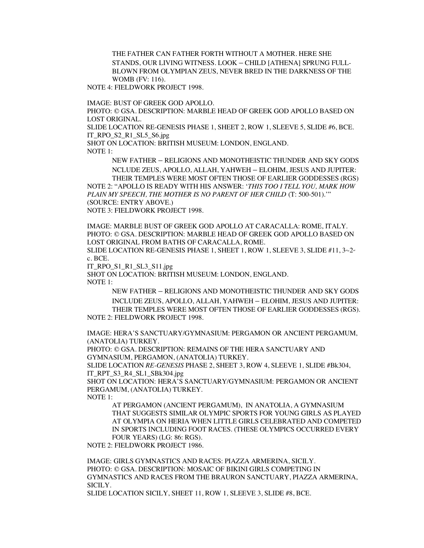THE FATHER CAN FATHER FORTH WITHOUT A MOTHER. HERE SHE STANDS, OUR LIVING WITNESS. LOOK – CHILD [ATHENA] SPRUNG FULL-BLOWN FROM OLYMPIAN ZEUS, NEVER BRED IN THE DARKNESS OF THE WOMB (FV: 116).

NOTE 4: FIELDWORK PROJECT 1998.

IMAGE: BUST OF GREEK GOD APOLLO.

PHOTO: © GSA. DESCRIPTION: MARBLE HEAD OF GREEK GOD APOLLO BASED ON LOST ORIGINAL.

SLIDE LOCATION RE-GENESIS PHASE 1, SHEET 2, ROW 1, SLEEVE 5, SLIDE #6, BCE. IT\_RPO\_S2\_R1\_SL5\_S6.jpg

SHOT ON LOCATION: BRITISH MUSEUM: LONDON, ENGLAND. NOTE 1:

NEW FATHER – RELIGIONS AND MONOTHEISTIC THUNDER AND SKY GODS

NCLUDE ZEUS, APOLLO, ALLAH, YAHWEH – ELOHIM, JESUS AND JUPITER: THEIR TEMPLES WERE MOST OFTEN THOSE OF EARLIER GODDESSES (RGS) NOTE 2: "APOLLO IS READY WITH HIS ANSWER: '*THIS TOO I TELL YOU, MARK HOW PLAIN MY SPEECH, THE MOTHER IS NO PARENT OF HER CHILD* (T: 500-501).'" (SOURCE: ENTRY ABOVE.)

NOTE 3: FIELDWORK PROJECT 1998.

IMAGE: MARBLE BUST OF GREEK GOD APOLLO AT CARACALLA: ROME, ITALY. PHOTO: © GSA. DESCRIPTION: MARBLE HEAD OF GREEK GOD APOLLO BASED ON LOST ORIGINAL FROM BATHS OF CARACALLA, ROME.

SLIDE LOCATION RE-GENESIS PHASE 1, SHEET 1, ROW 1, SLEEVE 3, SLIDE #11,  $3 - 2$ <sup>n</sup> c. BCE.

IT\_RPO\_S1\_R1\_SL3\_S11.jpg

SHOT ON LOCATION: BRITISH MUSEUM: LONDON, ENGLAND. NOTE 1:

NEW FATHER – RELIGIONS AND MONOTHEISTIC THUNDER AND SKY GODS INCLUDE ZEUS, APOLLO, ALLAH, YAHWEH – ELOHIM, JESUS AND JUPITER: THEIR TEMPLES WERE MOST OFTEN THOSE OF EARLIER GODDESSES (RGS). NOTE 2: FIELDWORK PROJECT 1998.

IMAGE: HERA'S SANCTUARY/GYMNASIUM: PERGAMON OR ANCIENT PERGAMUM, (ANATOLIA) TURKEY.

PHOTO: © GSA. DESCRIPTION: REMAINS OF THE HERA SANCTUARY AND GYMNASIUM, PERGAMON, (ANATOLIA) TURKEY.

SLIDE LOCATION *RE-GENESIS* PHASE 2, SHEET 3, ROW 4, SLEEVE 1, SLIDE #Bk304, IT\_RPT\_S3\_R4\_SL1\_SBk304.jpg

SHOT ON LOCATION: HERA'S SANCTUARY/GYMNASIUM: PERGAMON OR ANCIENT PERGAMUM, (ANATOLIA) TURKEY.

NOTE 1:

AT PERGAMON (ANCIENT PERGAMUM), IN ANATOLIA, A GYMNASIUM THAT SUGGESTS SIMILAR OLYMPIC SPORTS FOR YOUNG GIRLS AS PLAYED AT OLYMPIA ON HERIA WHEN LITTLE GIRLS CELEBRATED AND COMPETED IN SPORTS INCLUDING FOOT RACES. (THESE OLYMPICS OCCURRED EVERY FOUR YEARS) (LG: 86: RGS).

NOTE 2: FIELDWORK PROJECT 1986.

IMAGE: GIRLS GYMNASTICS AND RACES: PIAZZA ARMERINA, SICILY. PHOTO: © GSA. DESCRIPTION: MOSAIC OF BIKINI GIRLS COMPETING IN GYMNASTICS AND RACES FROM THE BRAURON SANCTUARY, PIAZZA ARMERINA, SICILY.

SLIDE LOCATION SICILY, SHEET 11, ROW 1, SLEEVE 3, SLIDE #8, BCE.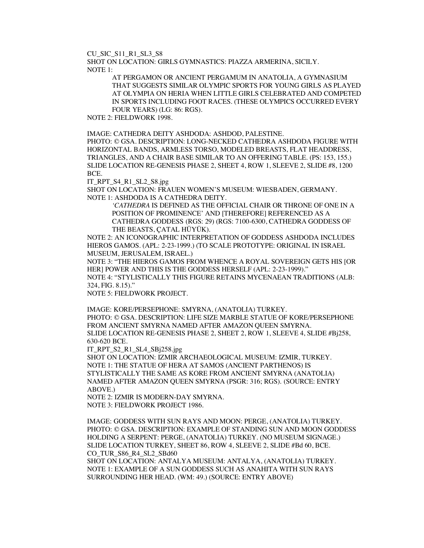CU\_SIC\_S11\_R1\_SL3\_S8

SHOT ON LOCATION: GIRLS GYMNASTICS: PIAZZA ARMERINA, SICILY. NOTE 1:

> AT PERGAMON OR ANCIENT PERGAMUM IN ANATOLIA, A GYMNASIUM THAT SUGGESTS SIMILAR OLYMPIC SPORTS FOR YOUNG GIRLS AS PLAYED AT OLYMPIA ON HERIA WHEN LITTLE GIRLS CELEBRATED AND COMPETED IN SPORTS INCLUDING FOOT RACES. (THESE OLYMPICS OCCURRED EVERY FOUR YEARS) (LG: 86: RGS).

NOTE 2: FIELDWORK 1998.

IMAGE: CATHEDRA DEITY ASHDODA: ASHDOD, PALESTINE.

PHOTO: © GSA. DESCRIPTION: LONG-NECKED CATHEDRA ASHDODA FIGURE WITH HORIZONTAL BANDS, ARMLESS TORSO, MODELED BREASTS, FLAT HEADDRESS, TRIANGLES, AND A CHAIR BASE SIMILAR TO AN OFFERING TABLE. (PS: 153, 155.) SLIDE LOCATION RE-GENESIS PHASE 2, SHEET 4, ROW 1, SLEEVE 2, SLIDE #8, 1200 BCE.

IT\_RPT\_S4\_R1\_SL2\_S8.jpg

SHOT ON LOCATION: FRAUEN WOMEN'S MUSEUM: WIESBADEN, GERMANY. NOTE 1: ASHDODA IS A CATHEDRA DEITY.

> *'CATHEDRA* IS DEFINED AS THE OFFICIAL CHAIR OR THRONE OF ONE IN A POSITION OF PROMINENCE' AND [THEREFORE] REFERENCED AS A CATHEDRA GODDESS (RGS: 29) (RGS: 7100-6300, CATHEDRA GODDESS OF THE BEASTS, ÇATAL HÜYÜK).

NOTE 2: AN ICONOGRAPHIC INTERPRETATION OF GODDESS ASHDODA INCLUDES HIEROS GAMOS. (APL: 2-23-1999.) (TO SCALE PROTOTYPE: ORIGINAL IN ISRAEL MUSEUM, JERUSALEM, ISRAEL.)

NOTE 3: "THE HIEROS GAMOS FROM WHENCE A ROYAL SOVEREIGN GETS HIS [OR HER] POWER AND THIS IS THE GODDESS HERSELF (APL: 2-23-1999)."

NOTE 4: "STYLISTICALLY THIS FIGURE RETAINS MYCENAEAN TRADITIONS (ALB: 324, FIG. 8.15)."

NOTE 5: FIELDWORK PROJECT.

IMAGE: KORE/PERSEPHONE: SMYRNA, (ANATOLIA) TURKEY. PHOTO: © GSA. DESCRIPTION: LIFE SIZE MARBLE STATUE OF KORE/PERSEPHONE FROM ANCIENT SMYRNA NAMED AFTER AMAZON QUEEN SMYRNA. SLIDE LOCATION RE-GENESIS PHASE 2, SHEET 2, ROW 1, SLEEVE 4, SLIDE #Bj258, 630-620 BCE.

IT\_RPT\_S2\_R1\_SL4\_SBj258.jpg

SHOT ON LOCATION: IZMIR ARCHAEOLOGICAL MUSEUM: IZMIR, TURKEY. NOTE 1: THE STATUE OF HERA AT SAMOS (ANCIENT PARTHENOS) IS STYLISTICALLY THE SAME AS KORE FROM ANCIENT SMYRNA (ANATOLIA) NAMED AFTER AMAZON QUEEN SMYRNA (PSGR: 316; RGS). (SOURCE: ENTRY ABOVE.)

NOTE 2: IZMIR IS MODERN-DAY SMYRNA. NOTE 3: FIELDWORK PROJECT 1986.

IMAGE: GODDESS WITH SUN RAYS AND MOON: PERGE, (ANATOLIA) TURKEY. PHOTO: © GSA. DESCRIPTION: EXAMPLE OF STANDING SUN AND MOON GODDESS HOLDING A SERPENT: PERGE, (ANATOLIA) TURKEY. (NO MUSEUM SIGNAGE.) SLIDE LOCATION TURKEY, SHEET 86, ROW 4, SLEEVE 2, SLIDE #Bd 60, BCE. CO\_TUR\_S86\_R4\_SL2\_SBd60

SHOT ON LOCATION: ANTALYA MUSEUM: ANTALYA, (ANATOLIA) TURKEY. NOTE 1: EXAMPLE OF A SUN GODDESS SUCH AS ANAHITA WITH SUN RAYS SURROUNDING HER HEAD. (WM: 49.) (SOURCE: ENTRY ABOVE)